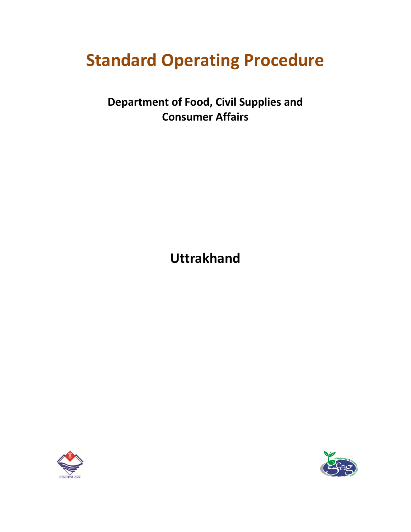# **Standard Operating Procedure**

**Department of Food, Civil Supplies and Consumer Affairs**

**Uttrakhand**



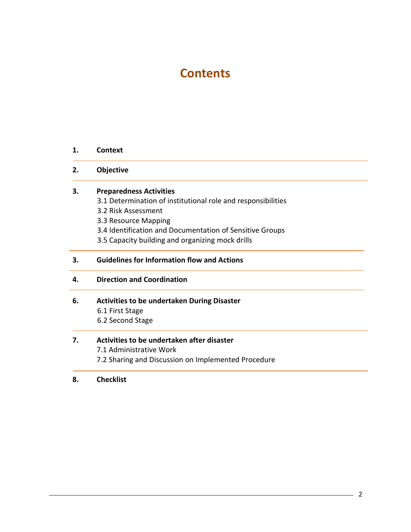# **Contents**

#### **1. Context**

#### **2. Objective**

#### **3. Preparedness Activities**

- 3.1 Determination of institutional role and responsibilities
- 3.2 Risk Assessment
- 3.3 Resource Mapping
- 3.4 Identification and Documentation of Sensitive Groups
- 3.5 Capacity building and organizing mock drills

## **3. Guidelines for Information flow and Actions**

**4. Direction and Coordination**

#### **6. Activities to be undertaken During Disaster**

6.1 First Stage 6.2 Second Stage

# **7. Activities to be undertaken after disaster**

7.1 Administrative Work 7.2 Sharing and Discussion on Implemented Procedure

#### **8. Checklist**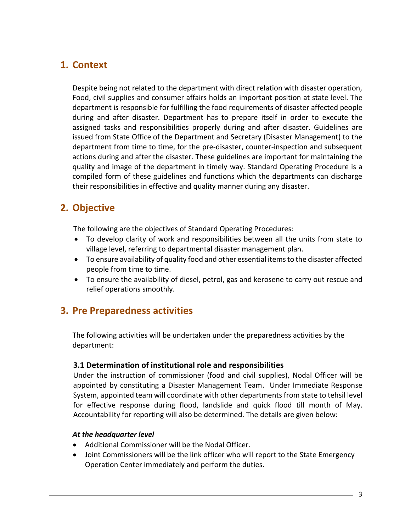# **1. Context**

Despite being not related to the department with direct relation with disaster operation, Food, civil supplies and consumer affairs holds an important position at state level. The department is responsible for fulfilling the food requirements of disaster affected people during and after disaster. Department has to prepare itself in order to execute the assigned tasks and responsibilities properly during and after disaster. Guidelines are issued from State Office of the Department and Secretary (Disaster Management) to the department from time to time, for the pre-disaster, counter-inspection and subsequent actions during and after the disaster. These guidelines are important for maintaining the quality and image of the department in timely way. Standard Operating Procedure is a compiled form of these guidelines and functions which the departments can discharge their responsibilities in effective and quality manner during any disaster.

# **2. Objective**

The following are the objectives of Standard Operating Procedures:

- To develop clarity of work and responsibilities between all the units from state to village level, referring to departmental disaster management plan.
- To ensure availability of quality food and other essential items to the disaster affected people from time to time.
- To ensure the availability of diesel, petrol, gas and kerosene to carry out rescue and relief operations smoothly.

# **3. Pre Preparedness activities**

The following activities will be undertaken under the preparedness activities by the department:

## **3.1 Determination of institutional role and responsibilities**

Under the instruction of commissioner (food and civil supplies), Nodal Officer will be appointed by constituting a Disaster Management Team. Under Immediate Response System, appointed team will coordinate with other departments from state to tehsil level for effective response during flood, landslide and quick flood till month of May. Accountability for reporting will also be determined. The details are given below:

## *At the headquarter level*

- Additional Commissioner will be the Nodal Officer.
- Joint Commissioners will be the link officer who will report to the State Emergency Operation Center immediately and perform the duties.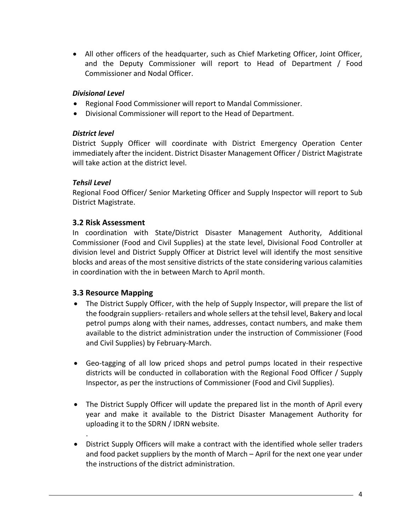All other officers of the headquarter, such as Chief Marketing Officer, Joint Officer, and the Deputy Commissioner will report to Head of Department / Food Commissioner and Nodal Officer.

## *Divisional Level*

- Regional Food Commissioner will report to Mandal Commissioner.
- Divisional Commissioner will report to the Head of Department.

# *District level*

District Supply Officer will coordinate with District Emergency Operation Center immediately after the incident. District Disaster Management Officer / District Magistrate will take action at the district level.

# *Tehsil Level*

Regional Food Officer/ Senior Marketing Officer and Supply Inspector will report to Sub District Magistrate.

# **3.2 Risk Assessment**

In coordination with State/District Disaster Management Authority, Additional Commissioner (Food and Civil Supplies) at the state level, Divisional Food Controller at division level and District Supply Officer at District level will identify the most sensitive blocks and areas of the most sensitive districts of the state considering various calamities in coordination with the in between March to April month.

# **3.3 Resource Mapping**

.

- The District Supply Officer, with the help of Supply Inspector, will prepare the list of the foodgrain suppliers- retailers and whole sellers at the tehsil level, Bakery and local petrol pumps along with their names, addresses, contact numbers, and make them available to the district administration under the instruction of Commissioner (Food and Civil Supplies) by February-March.
- Geo-tagging of all low priced shops and petrol pumps located in their respective districts will be conducted in collaboration with the Regional Food Officer / Supply Inspector, as per the instructions of Commissioner (Food and Civil Supplies).
- The District Supply Officer will update the prepared list in the month of April every year and make it available to the District Disaster Management Authority for uploading it to the SDRN / IDRN website.
- District Supply Officers will make a contract with the identified whole seller traders and food packet suppliers by the month of March – April for the next one year under the instructions of the district administration.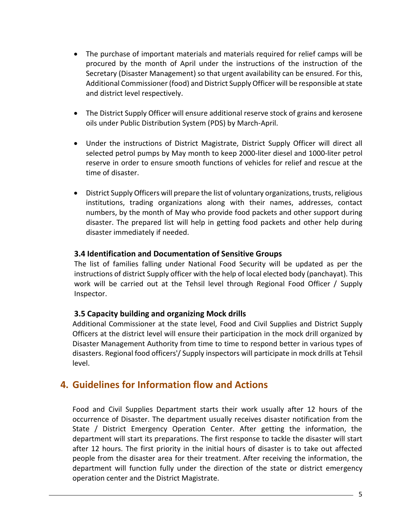- The purchase of important materials and materials required for relief camps will be procured by the month of April under the instructions of the instruction of the Secretary (Disaster Management) so that urgent availability can be ensured. For this, Additional Commissioner (food) and District Supply Officer will be responsible at state and district level respectively.
- The District Supply Officer will ensure additional reserve stock of grains and kerosene oils under Public Distribution System (PDS) by March-April.
- Under the instructions of District Magistrate, District Supply Officer will direct all selected petrol pumps by May month to keep 2000-liter diesel and 1000-liter petrol reserve in order to ensure smooth functions of vehicles for relief and rescue at the time of disaster.
- District Supply Officers will prepare the list of voluntary organizations, trusts, religious institutions, trading organizations along with their names, addresses, contact numbers, by the month of May who provide food packets and other support during disaster. The prepared list will help in getting food packets and other help during disaster immediately if needed.

#### **3.4 Identification and Documentation of Sensitive Groups**

The list of families falling under National Food Security will be updated as per the instructions of district Supply officer with the help of local elected body (panchayat). This work will be carried out at the Tehsil level through Regional Food Officer / Supply Inspector.

## **3.5 Capacity building and organizing Mock drills**

Additional Commissioner at the state level, Food and Civil Supplies and District Supply Officers at the district level will ensure their participation in the mock drill organized by Disaster Management Authority from time to time to respond better in various types of disasters. Regional food officers'/ Supply inspectors will participate in mock drills at Tehsil level.

# **4. Guidelines for Information flow and Actions**

Food and Civil Supplies Department starts their work usually after 12 hours of the occurrence of Disaster. The department usually receives disaster notification from the State / District Emergency Operation Center. After getting the information, the department will start its preparations. The first response to tackle the disaster will start after 12 hours. The first priority in the initial hours of disaster is to take out affected people from the disaster area for their treatment. After receiving the information, the department will function fully under the direction of the state or district emergency operation center and the District Magistrate.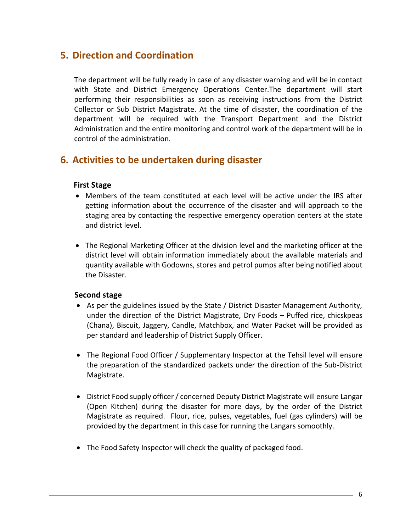# **5. Direction and Coordination**

The department will be fully ready in case of any disaster warning and will be in contact with State and District Emergency Operations Center.The department will start performing their responsibilities as soon as receiving instructions from the District Collector or Sub District Magistrate. At the time of disaster, the coordination of the department will be required with the Transport Department and the District Administration and the entire monitoring and control work of the department will be in control of the administration.

# **6. Activities to be undertaken during disaster**

#### **First Stage**

- Members of the team constituted at each level will be active under the IRS after getting information about the occurrence of the disaster and will approach to the staging area by contacting the respective emergency operation centers at the state and district level.
- The Regional Marketing Officer at the division level and the marketing officer at the district level will obtain information immediately about the available materials and quantity available with Godowns, stores and petrol pumps after being notified about the Disaster.

## **Second stage**

- As per the guidelines issued by the State / District Disaster Management Authority, under the direction of the District Magistrate, Dry Foods – Puffed rice, chicskpeas (Chana), Biscuit, Jaggery, Candle, Matchbox, and Water Packet will be provided as per standard and leadership of District Supply Officer.
- The Regional Food Officer / Supplementary Inspector at the Tehsil level will ensure the preparation of the standardized packets under the direction of the Sub-District Magistrate.
- District Food supply officer / concerned Deputy District Magistrate will ensure Langar (Open Kitchen) during the disaster for more days, by the order of the District Magistrate as required. Flour, rice, pulses, vegetables, fuel (gas cylinders) will be provided by the department in this case for running the Langars somoothly.
- The Food Safety Inspector will check the quality of packaged food.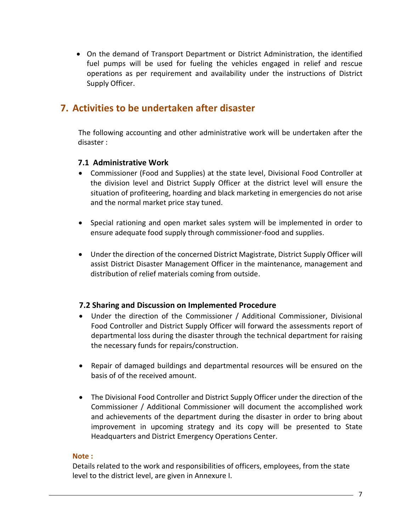On the demand of Transport Department or District Administration, the identified fuel pumps will be used for fueling the vehicles engaged in relief and rescue operations as per requirement and availability under the instructions of District Supply Officer.

# **7. Activities to be undertaken after disaster**

The following accounting and other administrative work will be undertaken after the disaster :

# **7.1 Administrative Work**

- Commissioner (Food and Supplies) at the state level, Divisional Food Controller at the division level and District Supply Officer at the district level will ensure the situation of profiteering, hoarding and black marketing in emergencies do not arise and the normal market price stay tuned.
- Special rationing and open market sales system will be implemented in order to ensure adequate food supply through commissioner-food and supplies.
- Under the direction of the concerned District Magistrate, District Supply Officer will assist District Disaster Management Officer in the maintenance, management and distribution of relief materials coming from outside.

## **7.2 Sharing and Discussion on Implemented Procedure**

- Under the direction of the Commissioner / Additional Commissioner, Divisional Food Controller and District Supply Officer will forward the assessments report of departmental loss during the disaster through the technical department for raising the necessary funds for repairs/construction.
- Repair of damaged buildings and departmental resources will be ensured on the basis of of the received amount.
- The Divisional Food Controller and District Supply Officer under the direction of the Commissioner / Additional Commissioner will document the accomplished work and achievements of the department during the disaster in order to bring about improvement in upcoming strategy and its copy will be presented to State Headquarters and District Emergency Operations Center.

#### **Note :**

Details related to the work and responsibilities of officers, employees, from the state level to the district level, are given in Annexure I.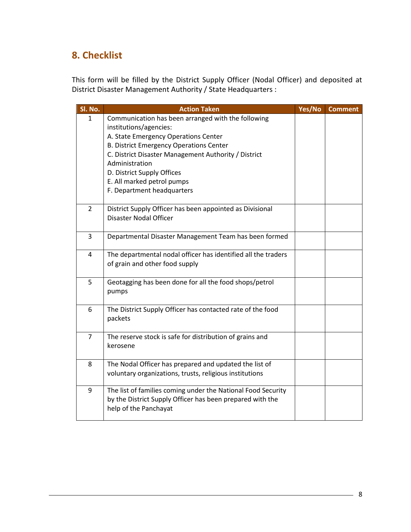# **8. Checklist**

This form will be filled by the District Supply Officer (Nodal Officer) and deposited at District Disaster Management Authority / State Headquarters :

| Sl. No.        | <b>Action Taken</b>                                           | Yes/No | <b>Comment</b> |
|----------------|---------------------------------------------------------------|--------|----------------|
| $\mathbf{1}$   | Communication has been arranged with the following            |        |                |
|                | institutions/agencies:                                        |        |                |
|                | A. State Emergency Operations Center                          |        |                |
|                | <b>B. District Emergency Operations Center</b>                |        |                |
|                | C. District Disaster Management Authority / District          |        |                |
|                | Administration                                                |        |                |
|                | D. District Supply Offices                                    |        |                |
|                | E. All marked petrol pumps                                    |        |                |
|                | F. Department headquarters                                    |        |                |
| $\overline{2}$ | District Supply Officer has been appointed as Divisional      |        |                |
|                | <b>Disaster Nodal Officer</b>                                 |        |                |
|                |                                                               |        |                |
| 3              | Departmental Disaster Management Team has been formed         |        |                |
| 4              | The departmental nodal officer has identified all the traders |        |                |
|                | of grain and other food supply                                |        |                |
|                |                                                               |        |                |
| 5              | Geotagging has been done for all the food shops/petrol        |        |                |
|                | pumps                                                         |        |                |
| 6              | The District Supply Officer has contacted rate of the food    |        |                |
|                | packets                                                       |        |                |
|                |                                                               |        |                |
| $\overline{7}$ | The reserve stock is safe for distribution of grains and      |        |                |
|                | kerosene                                                      |        |                |
|                |                                                               |        |                |
| 8              | The Nodal Officer has prepared and updated the list of        |        |                |
|                | voluntary organizations, trusts, religious institutions       |        |                |
| 9              | The list of families coming under the National Food Security  |        |                |
|                | by the District Supply Officer has been prepared with the     |        |                |
|                | help of the Panchayat                                         |        |                |
|                |                                                               |        |                |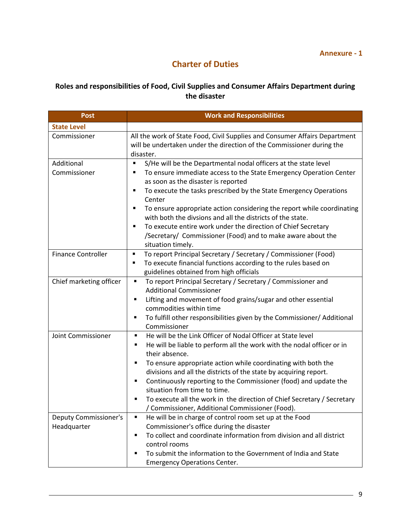# **Charter of Duties**

# **Roles and responsibilities of Food, Civil Supplies and Consumer Affairs Department during the disaster**

| Post                                        | <b>Work and Responsibilities</b>                                                                                                                                                                                                                                                                                                                                                                                                                                                                                                                                             |  |  |
|---------------------------------------------|------------------------------------------------------------------------------------------------------------------------------------------------------------------------------------------------------------------------------------------------------------------------------------------------------------------------------------------------------------------------------------------------------------------------------------------------------------------------------------------------------------------------------------------------------------------------------|--|--|
| <b>State Level</b>                          |                                                                                                                                                                                                                                                                                                                                                                                                                                                                                                                                                                              |  |  |
| Commissioner                                | All the work of State Food, Civil Supplies and Consumer Affairs Department<br>will be undertaken under the direction of the Commissioner during the<br>disaster.                                                                                                                                                                                                                                                                                                                                                                                                             |  |  |
| Additional<br>Commissioner                  | S/He will be the Departmental nodal officers at the state level<br>To ensure immediate access to the State Emergency Operation Center<br>Е<br>as soon as the disaster is reported<br>To execute the tasks prescribed by the State Emergency Operations<br>П<br>Center<br>To ensure appropriate action considering the report while coordinating<br>٠<br>with both the divsions and all the districts of the state.<br>To execute entire work under the direction of Chief Secretary<br>٠<br>/Secretary/ Commissioner (Food) and to make aware about the<br>situation timely. |  |  |
| <b>Finance Controller</b>                   | To report Principal Secretary / Secretary / Commissioner (Food)<br>п<br>To execute financial functions according to the rules based on<br>٠<br>guidelines obtained from high officials                                                                                                                                                                                                                                                                                                                                                                                       |  |  |
| Chief marketing officer                     | To report Principal Secretary / Secretary / Commissioner and<br>٠<br><b>Additional Commissioner</b><br>Lifting and movement of food grains/sugar and other essential<br>٠<br>commodities within time<br>To fulfill other responsibilities given by the Commissioner/ Additional<br>٠<br>Commissioner                                                                                                                                                                                                                                                                         |  |  |
| Joint Commissioner                          | He will be the Link Officer of Nodal Officer at State level<br>٠<br>He will be liable to perform all the work with the nodal officer or in<br>٠<br>their absence.<br>To ensure appropriate action while coordinating with both the<br>٠<br>divisions and all the districts of the state by acquiring report.<br>Continuously reporting to the Commissioner (food) and update the<br>٠<br>situation from time to time.<br>To execute all the work in the direction of Chief Secretary / Secretary<br>Ξ<br>/ Commissioner, Additional Commissioner (Food).                     |  |  |
| <b>Deputy Commissioner's</b><br>Headquarter | He will be in charge of control room set up at the Food<br>٠<br>Commissioner's office during the disaster<br>To collect and coordinate information from division and all district<br>٠<br>control rooms<br>To submit the information to the Government of India and State<br>п<br><b>Emergency Operations Center.</b>                                                                                                                                                                                                                                                        |  |  |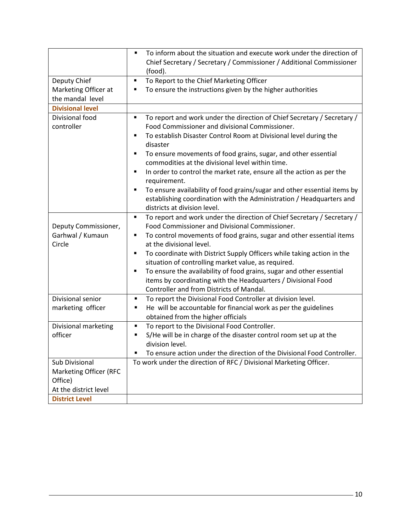|                         | To inform about the situation and execute work under the direction of         |  |  |  |
|-------------------------|-------------------------------------------------------------------------------|--|--|--|
|                         | Chief Secretary / Secretary / Commissioner / Additional Commissioner          |  |  |  |
|                         | (food).                                                                       |  |  |  |
| Deputy Chief            | To Report to the Chief Marketing Officer<br>٠                                 |  |  |  |
| Marketing Officer at    | To ensure the instructions given by the higher authorities<br>п               |  |  |  |
| the mandal level        |                                                                               |  |  |  |
| <b>Divisional level</b> |                                                                               |  |  |  |
| Divisional food         | To report and work under the direction of Chief Secretary / Secretary /<br>П  |  |  |  |
| controller              | Food Commissioner and divisional Commissioner.                                |  |  |  |
|                         | To establish Disaster Control Room at Divisional level during the<br>Ξ        |  |  |  |
|                         | disaster                                                                      |  |  |  |
|                         | To ensure movements of food grains, sugar, and other essential<br>٠           |  |  |  |
|                         | commodities at the divisional level within time.                              |  |  |  |
|                         | In order to control the market rate, ensure all the action as per the<br>٠    |  |  |  |
|                         | requirement.                                                                  |  |  |  |
|                         | To ensure availability of food grains/sugar and other essential items by<br>٠ |  |  |  |
|                         | establishing coordination with the Administration / Headquarters and          |  |  |  |
|                         | districts at division level.                                                  |  |  |  |
|                         | To report and work under the direction of Chief Secretary / Secretary /<br>٠  |  |  |  |
| Deputy Commissioner,    | Food Commissioner and Divisional Commissioner.                                |  |  |  |
| Garhwal / Kumaun        | To control movements of food grains, sugar and other essential items<br>٠     |  |  |  |
| Circle                  | at the divisional level.                                                      |  |  |  |
|                         | To coordinate with District Supply Officers while taking action in the<br>٠   |  |  |  |
|                         | situation of controlling market value, as required.                           |  |  |  |
|                         | To ensure the availability of food grains, sugar and other essential<br>٠     |  |  |  |
|                         | items by coordinating with the Headquarters / Divisional Food                 |  |  |  |
|                         | Controller and from Districts of Mandal.                                      |  |  |  |
| Divisional senior       | To report the Divisional Food Controller at division level.<br>٠              |  |  |  |
| marketing officer       | He will be accountable for financial work as per the guidelines<br>٠          |  |  |  |
|                         | obtained from the higher officials                                            |  |  |  |
| Divisional marketing    | To report to the Divisional Food Controller.<br>п                             |  |  |  |
| officer                 | S/He will be in charge of the disaster control room set up at the<br>٠        |  |  |  |
|                         | division level.                                                               |  |  |  |
|                         | To ensure action under the direction of the Divisional Food Controller.       |  |  |  |
| Sub Divisional          | To work under the direction of RFC / Divisional Marketing Officer.            |  |  |  |
| Marketing Officer (RFC  |                                                                               |  |  |  |
| Office)                 |                                                                               |  |  |  |
| At the district level   |                                                                               |  |  |  |
| <b>District Level</b>   |                                                                               |  |  |  |